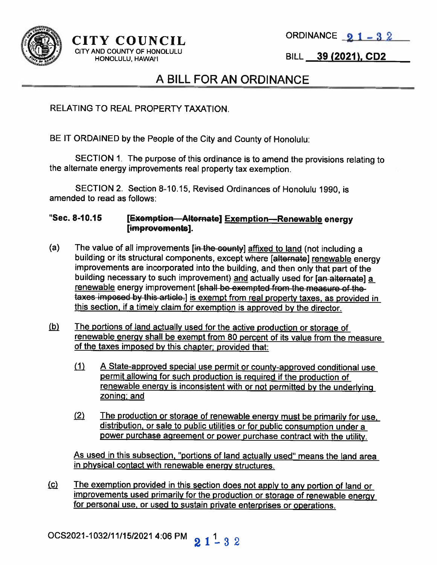



#### $CITY$  COUNCIL ORDINANCE  $21-32$ CITY AND COUNTY OF HONOLULU

HONOLULU, HAWAII **ILL 199 (2021), CD2** 

### A BILL FOR AN ORDINANCE

RELATING TO REAL PROPERTY TAXATION.

BE IT ORDAINED by the People of the City and County of Honolulu:

SECTION 1. The purpose of this ordinance is to amend the provisions relating to the alternate energy improvements real property tax exemption.

SECTION 2. Section 8-10.15, Revised Ordinances of Honolulu 1990, is amended to read as follows:

#### "Sec. 8-10.15 [Exemption—Alternate] Exemption—Renewable energy [improvements].

- (a) The value of all improvements [in the county] affixed to land (not including a building or its structural components, except where [alternate] renewable energy improvements are incorporated into the building, and then only that part of the building necessary to such improvement) and actually used for [an-alternate] a renewable energy improvement [shall be exempted from the measure of the taxes imposed by this article.] is exempt from real property taxes, as provided in this section, if a timely claim for exemption is approved by the director.
- $(b)$ The portions of land actually used for the active production or storage of renewable energy shall be exempt from <sup>80</sup> percent of its value from the measure of the taxes imposed by this chapter; provided that:
	- (1) A State-approved special use permit or county-approved conditional use permit allowing for such production is required if the production of renewable energy is inconsistent with or not permitted by the underlying zoning; and
	- (2) The production or storage of renewable energy must be primarily for use, distribution, or sale to public utilities or for public consumption under <sup>a</sup> power purchase agreement or power purchase contract with the utility.

As used in this subsection, "portions of land actually used' means the land area in <sup>p</sup>hysical contact with renewable energy structures.

(c) The exemption provided in this section does not apply to any portion of land or improvements used primarily for the production or storage of renewable energy for personal use, or used to sustain private enterprises or operations.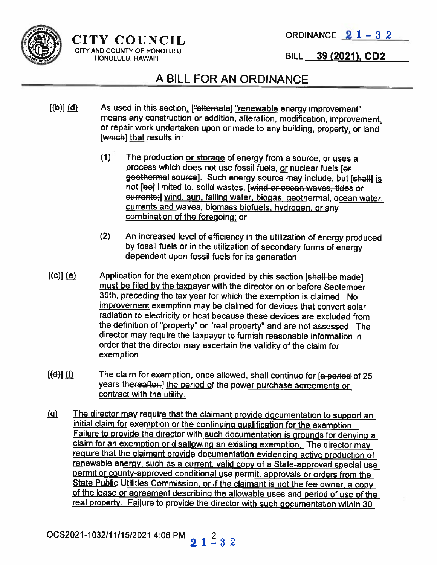

# $CITY$  COUNCIL ORDINANCE  $21 - 32$

CITYANDCOUNTYOFHONOLULU <sup>I</sup> HONOLULU, HAWAI'I

## A BILL FOR AN ORDINANCE

- $[(b)]$  (d) As used in this section, ["alternate] "renewable energy improvement" means any construction or addition, alteration, modification, improvement, or repair work undertaken upon or made to any building, property, or land [which] that results in:
	- (1) The production or storage of energy from <sup>a</sup> source, or uses <sup>a</sup> process which does not use fossil fuels, or nuclear fuels [or geothermal source]. Such energy source may include, but [shall] is not [be] limited to, solid wastes, [wind or ocean waves, tides or eurrents-I wind, sun, falling water, biogas, geothermal, ocean water, currents and waves, biomass biofuels, hydrogen, or any combination of the foregoing; or
	- (2) An increased level of efficiency in the utilization of energy produced by fossil fuels or in the utilization of secondary forms of energy dependent upon fossil fuels for its generation.
- $[\text{E}(\Theta)]$  (e) Application for the exemption provided by this section [shall be made] must be filed by the taxpayer with the director on or before September 30th, preceding the tax year for which the exemption is claimed. No improvement exemption may be claimed for devices that convert solar radiation to electricity or heat because these devices are excluded from the definition of "property" or "real property" and are not assessed. The director may require the taxpayer to furnish reasonable information in order that the director may ascertain the validity of the claim for exemption.
- $[d]$  (f) The claim for exemption, once allowed, shall continue for [a-period-of-25years thereafter.] the period of the power purchase agreements or contract with the utility.
- (g) The director may require that the claimant provide documentation to support an initial claim for exemption or the continuing gualification for the exemption. Failure to provide the director with such documentation is grounds for denying <sup>a</sup> claim for an exemption or disallowing an existing exemption. The director may require that the claimant provide documentation evidencing active production of renewable energy, such as <sup>a</sup> current, valid copy of <sup>a</sup> State-approved special use permit or county-approved conditional use permit, approvals or orders from the State Public Utilities Commission, or if the claimant is not the fee owner, <sup>a</sup> copy of the lease or agreement describing the allowable uses and period of use of the real property. Failure to provide the director with such documentation within 30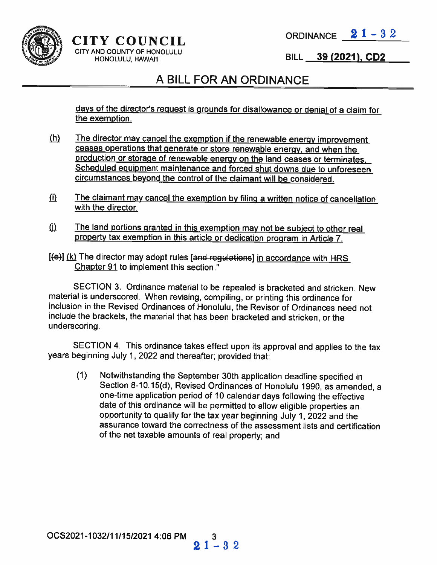

# $CITY$  COUNCIL ORDINANCE  $21-32$

CITY AND COUNTY OF HONOLULU HONOLULU, HAWAII

BILL 39 (2021), CD2

## A BILL FOR AN ORDINANCE

days of the director's request is grounds for disallowance or denial of <sup>a</sup> claim for the exemption.

- $(h)$  The director may cancel the exemption if the renewable energy improvement ceases operations that generate or store renewable energy, and when the production or storage of renewable energy on the land ceases or terminates. Scheduled equipment maintenance and forced shut downs due to unforeseen circumstances beyond the control of the claimant will be considered.
- $(i)$  The claimant may cancel the exemption by filing a written notice of cancellation with the director.
- $(i)$  The land portions granted in this exemption may not be subject to other real property tax exemption in this article or dedication program in Article 7.
- $[$ (e)]  $(k)$  The director may adopt rules [and regulations] in accordance with HRS Chapter 91 to implement this section."

SECTION 3. Ordinance material to be repealed is bracketed and stricken. New material is underscored. When revising, compiling, or printing this ordinance for inclusion in the Revised Ordinances of Honolulu, the Revisor of Ordinances need not include the brackets, the material that has been bracketed and stricken, or the underscoring.

SECTION 4. This ordinance takes effect upon its approval and applies to the tax years beginning July 1, <sup>2022</sup> and thereafter; provided that:

(1) Notwithstanding the September 30th application deadline specified in Section 8-10.15(d), Revised Ordinances of Honolulu 1990, as amended, <sup>a</sup> one-time application period of <sup>10</sup> calendar days following the effective date of this ordinance will be permitted to allow eligible properties an opportunity to qualify for the tax year beginning July 1, <sup>2022</sup> and the assurance toward the correctness of the assessment lists and certification of the net taxable amounts of real property; and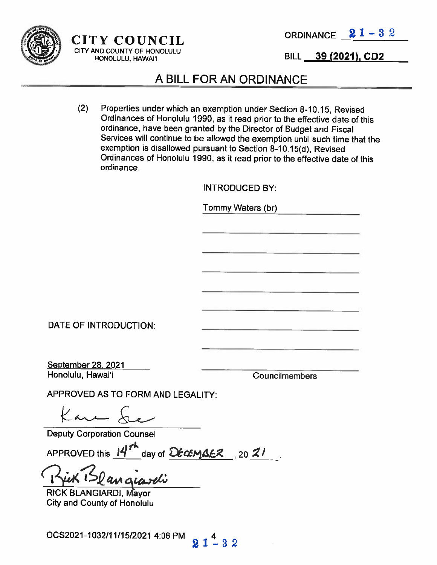

## $CITY$  COUNCIL ORDINANCE  $21 - 32$ CITY AND COUNTY OF HONOLULU

HONOLULU, HAWAI'I BILL 39 (2021), CD2

#### A BILL FOR AN ORDINANCE

(2) Properties under which an exemption under Section 8-10.15, Revised Ordinances of Honolulu 1990, as it read prior to the effective date of this ordinance, have been granted by the Director of Budget and Fiscal Services will continue to be allowed the exemption until such time that the exemption is disallowed pursuant to Section 8-10.15(d), Revised Ordinances of Honolulu 1990, as it read prior to the effective date of this ordinance.

INTRODUCED BY:

Tommy Waters (br)

DATE OF INTRODUCTION:

September 28, 2021 Honolulu, Hawai'i

Councilmembers

APPROVED AS TO FORM AND LEGALITY:

Kan &

Deputy Corporation Counsel

APPROVED this  $14^{7}$  day of  $\Omega$ ECEMBER, 20 21

 $21 - 32$ 

RICK BLANGIARDI, Mayor City and County of Honolulu

OCS2021-1032/11/15/2021 4:06 PM